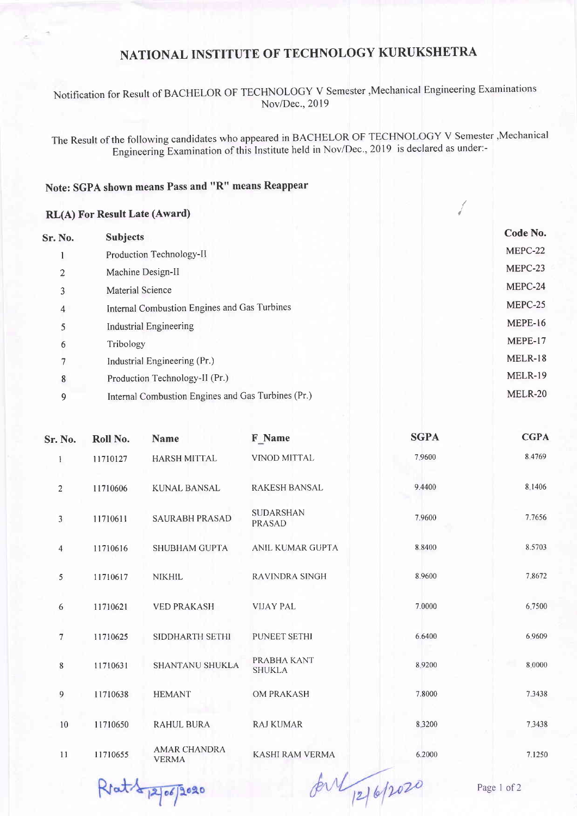## NATIONAL INSTITUTE OF TECHNOLOGY KURUKSHETRA

Notification for Result of BACHELOR oF TECHNoLOGY v Semester ,Mechanical Engineering Examinations Nov/Dec.,2019

The Result of the following candidates who appeared in BACHELOR oF TECHNOLOGY v Semester,Mechanical Engineering-Examination of this Institute held in Nov/Dec., 2019 is declared as under:-

## Note: SGPA shown means Pass and "R" means Reappear

## RL(A) For Result Late (Award)

| <b>Subjects</b>                                    | Code No.       |
|----------------------------------------------------|----------------|
| Production Technology-II                           | MEPC-22        |
| Machine Design-II                                  | MEPC-23        |
| <b>Material Science</b>                            | MEPC-24        |
| Internal Combustion Engines and Gas Turbines       | MEPC-25        |
| Industrial Engineering                             | <b>MEPE-16</b> |
| Tribology                                          | MEPE-17        |
| Industrial Engineering (Pr.)                       | MELR-18        |
| Production Technology-II (Pr.)                     | <b>MELR-19</b> |
| Internal Combustion Engines and Gas Turbines (Pr.) | <b>MELR-20</b> |
|                                                    |                |

| Sr. No.                 | Roll No. | <b>Name</b>                         | <b>F</b> Name                     | <b>SGPA</b> | <b>CGPA</b> |
|-------------------------|----------|-------------------------------------|-----------------------------------|-------------|-------------|
| $\mathbf{1}$            | 11710127 | <b>HARSH MITTAL</b>                 | VINOD MITTAL                      | 7.9600      | 8.4769      |
| $\overline{2}$          | 11710606 | <b>KUNAL BANSAL</b>                 | <b>RAKESH BANSAL</b>              | 9.4400      | 8.1406      |
| 3                       | 11710611 | <b>SAURABH PRASAD</b>               | <b>SUDARSHAN</b><br><b>PRASAD</b> | 7.9600      | 7.7656      |
| $\overline{\mathbf{4}}$ | 11710616 | <b>SHUBHAM GUPTA</b>                | ANIL KUMAR GUPTA                  | 8.8400      | 8.5703      |
| 5                       | 11710617 | <b>NIKHIL</b>                       | <b>RAVINDRA SINGH</b>             | 8.9600      | 7.8672      |
| 6                       | 11710621 | <b>VED PRAKASH</b>                  | <b>VIJAY PAL</b>                  | 7.0000      | 6.7500      |
| $\overline{7}$          | 11710625 | SIDDHARTH SETHI                     | PUNEET SETHI                      | 6.6400      | 6.9609      |
| 8                       | 11710631 | SHANTANU SHUKLA                     | PRABHA KANT<br><b>SHUKLA</b>      | 8.9200      | 8.0000      |
| 9                       | 11710638 | <b>HEMANT</b>                       | OM PRAKASH                        | 7.8000      | 7.3438      |
| 10                      | 11710650 | <b>RAHUL BURA</b>                   | <b>RAJ KUMAR</b>                  | 8.3200      | 7.3438      |
| 11                      | 11710655 | <b>AMAR CHANDRA</b><br><b>VERMA</b> | <b>KASHI RAM VERMA</b>            | 6.2000      | 7.1250      |

Rrat 12/06/2020

for 12/6/2020